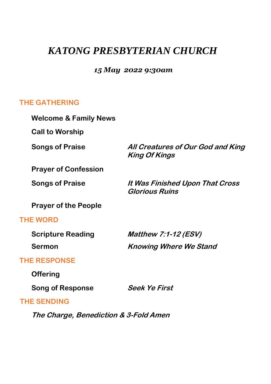# *KATONG PRESBYTERIAN CHURCH*

# *15 May 2022 9:30am*

# **THE GATHERING**

| <b>Welcome &amp; Family News</b> |                                                           |
|----------------------------------|-----------------------------------------------------------|
| <b>Call to Worship</b>           |                                                           |
| <b>Songs of Praise</b>           | All Creatures of Our God and King<br><b>King Of Kings</b> |
| <b>Prayer of Confession</b>      |                                                           |
| <b>Songs of Praise</b>           | It Was Finished Upon That Cross<br><b>Glorious Ruins</b>  |
| <b>Prayer of the People</b>      |                                                           |
| <b>THE WORD</b>                  |                                                           |
| <b>Scripture Reading</b>         | Matthew $7:1-12$ (ESV)                                    |
| Sermon                           | <b>Knowing Where We Stand</b>                             |
| <b>THE RESPONSE</b>              |                                                           |
| Offering                         |                                                           |
| <b>Song of Response</b>          | Seek Ye First                                             |
| <b>THE SENDING</b>               |                                                           |

**The Charge, Benediction & 3-Fold Amen**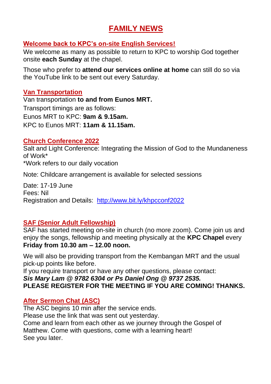# **FAMILY NEWS**

# **Welcome back to KPC's on-site English Services!**

We welcome as many as possible to return to KPC to worship God together onsite **each Sunday** at the chapel.

Those who prefer to **attend our services online at home** can still do so via the YouTube link to be sent out every Saturday.

## **Van Transportation**

Van transportation **to and from Eunos MRT.** Transport timings are as follows: Eunos MRT to KPC: **9am & 9.15am.** KPC to Eunos MRT: **11am & 11.15am.**

### **Church Conference 2022**

Salt and Light Conference: Integrating the Mission of God to the Mundaneness of Work\* \*Work refers to our daily vocation

Note: Childcare arrangement is available for selected sessions

Date: 17-19 June Fees: Nil Registration and Details: <http://www.bit.ly/khpcconf2022>

### **SAF (Senior Adult Fellowship)**

SAF has started meeting on-site in church (no more zoom). Come join us and enjoy the songs, fellowship and meeting physically at the **KPC Chapel** every **Friday from 10.30 am – 12.00 noon.**

We will also be providing transport from the Kembangan MRT and the usual pick-up points like before.

If you require transport or have any other questions, please contact: *Sis Mary Lam @ 9782 6304 or Ps Daniel Ong @ 9737 2535.* **PLEASE REGISTER FOR THE MEETING IF YOU ARE COMING! THANKS.**

### **After Sermon Chat (ASC)**

The ASC begins 10 min after the service ends. Please use the link that was sent out yesterday. Come and learn from each other as we journey through the Gospel of Matthew. Come with questions, come with a learning heart! See you later.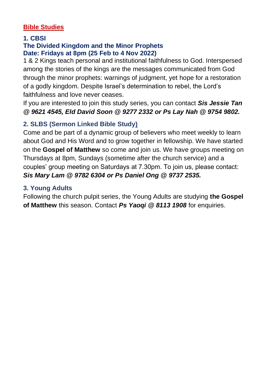# **Bible Studies**

### **1. CBSI**

### **The Divided Kingdom and the Minor Prophets Date: Fridays at 8pm (25 Feb to 4 Nov 2022)**

1 & 2 Kings teach personal and institutional faithfulness to God. Interspersed among the stories of the kings are the messages communicated from God through the minor prophets: warnings of judgment, yet hope for a restoration of a godly kingdom. Despite Israel's determination to rebel, the Lord's faithfulness and love never ceases.

If you are interested to join this study series, you can contact *Sis Jessie Tan @ 9621 4545, Eld David Soon @ 9277 2332 or Ps Lay Nah @ 9754 9802.*

# **2. SLBS (Sermon Linked Bible Study)**

Come and be part of a dynamic group of believers who meet weekly to learn about God and His Word and to grow together in fellowship. We have started on the **Gospel of Matthew** so come and join us. We have groups meeting on Thursdays at 8pm, Sundays (sometime after the church service) and a couples' group meeting on Saturdays at 7.30pm. To join us, please contact: *Sis Mary Lam @ 9782 6304 or Ps Daniel Ong @ 9737 2535.*

# **3. Young Adults**

Following the church pulpit series, the Young Adults are studying **the Gospel of Matthew** this season. Contact *Ps Yaoqi @ 8113 1908* for enquiries.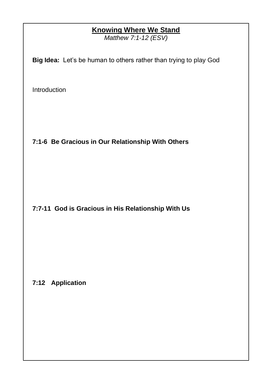# **Knowing Where We Stand**

*Matthew 7:1-12 (ESV)*

**Big Idea:** Let's be human to others rather than trying to play God

Introduction

**7:1-6 Be Gracious in Our Relationship With Others**

**7:7-11 God is Gracious in His Relationship With Us**

# **7:12 Application**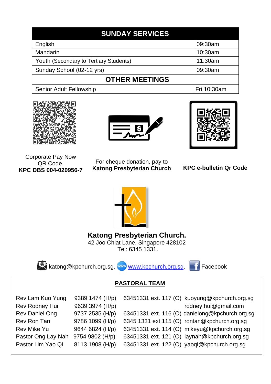| <b>SUNDAY SERVICES</b>                 |             |  |
|----------------------------------------|-------------|--|
| English                                | 09:30am     |  |
| Mandarin                               | 10:30am     |  |
| Youth (Secondary to Tertiary Students) | 11:30am     |  |
| Sunday School (02-12 yrs)              | 09:30am     |  |
| <b>OTHER MEETINGS</b>                  |             |  |
| Senior Adult Fellowship                | Fri 10:30am |  |







#### Corporate Pay Now QR Code. **KPC DBS 004-020956-7**

For cheque donation, pay to **Katong Presbyterian Church**





# **Katong Presbyterian Church.**

42 Joo Chiat Lane, Singapore 428102 Tel: 6345 1331.



[katong@kpchurch.org.sg.](mailto:katong@kpchurch.org.sg) [www.kpchurch.org.sg.](http://www.kpchurch.org.sg/) Facebook

# **PASTORAL TEAM**

| Rev Lam Kuo Yung   | 9389 1474 (H/p) | 63451331 ext. 117 (O) kuoyung@kpchurch.org.sg   |
|--------------------|-----------------|-------------------------------------------------|
| Rev Rodney Hui     | 9639 3974 (H/p) | rodney.hui@gmail.com                            |
| Rev Daniel Ong     | 9737 2535 (H/p) | 63451331 ext. 116 (O) danielong@kpchurch.org.sg |
| Rev Ron Tan        | 9786 1099 (H/p) | 6345 1331 ext.115 (O) rontan@kpchurch.org.sg    |
| Rev Mike Yu        | 9644 6824 (H/p) | 63451331 ext. 114 (O) mikeyu@kpchurch.org.sg    |
| Pastor Ong Lay Nah | 9754 9802 (H/p) | 63451331 ext. 121 (O) laynah@kpchurch.org.sg    |
| Pastor Lim Yao Qi  | 8113 1908 (H/p) | 63451331 ext. 122 (O) yaoqi@kpchurch.org.sg     |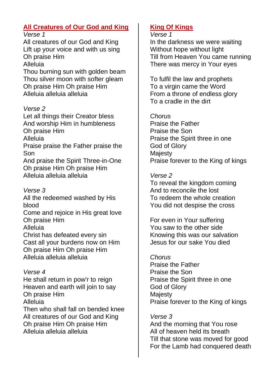# **All Creatures of Our God and King**

*Verse 1*

All creatures of our God and King Lift up your voice and with us sing Oh praise Him Alleluia

Thou burning sun with golden beam Thou silver moon with softer gleam Oh praise Him Oh praise Him Alleluia alleluia alleluia

# *Verse 2*

Let all things their Creator bless And worship Him in humbleness Oh praise Him Alleluia Praise praise the Father praise the Son And praise the Spirit Three-in-One Oh praise Him Oh praise Him Alleluia alleluia alleluia

# *Verse 3*

All the redeemed washed by His blood

Come and rejoice in His great love Oh praise Him Alleluia

Christ has defeated every sin Cast all your burdens now on Him Oh praise Him Oh praise Him Alleluia alleluia alleluia

# *Verse 4*

He shall return in pow'r to reign Heaven and earth will join to say Oh praise Him Alleluia Then who shall fall on bended knee All creatures of our God and King Oh praise Him Oh praise Him Alleluia alleluia alleluia

# **King Of Kings**

### *Verse 1*

In the darkness we were waiting Without hope without light Till from Heaven You came running There was mercy in Your eyes

To fulfil the law and prophets To a virgin came the Word From a throne of endless glory To a cradle in the dirt

# *Chorus*

Praise the Father Praise the Son Praise the Spirit three in one God of Glory **Majesty** Praise forever to the King of kings

# *Verse 2*

To reveal the kingdom coming And to reconcile the lost To redeem the whole creation You did not despise the cross

For even in Your suffering You saw to the other side Knowing this was our salvation Jesus for our sake You died

### *Chorus*

Praise the Father Praise the Son Praise the Spirit three in one God of Glory Majesty Praise forever to the King of kings

*Verse 3* And the morning that You rose All of heaven held its breath Till that stone was moved for good For the Lamb had conquered death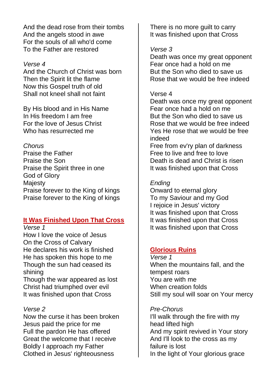And the dead rose from their tombs And the angels stood in awe For the souls of all who'd come To the Father are restored

#### *Verse 4*

And the Church of Christ was born Then the Spirit lit the flame Now this Gospel truth of old Shall not kneel shall not faint

By His blood and in His Name In His freedom I am free For the love of Jesus Christ Who has resurrected me

### *Chorus*

Praise the Father Praise the Son Praise the Spirit three in one God of Glory **Maiesty** Praise forever to the King of kings Praise forever to the King of kings

### **It Was Finished Upon That Cross**

*Verse 1*

How I love the voice of Jesus On the Cross of Calvary He declares his work is finished He has spoken this hope to me Though the sun had ceased its shining

Though the war appeared as lost Christ had triumphed over evil It was finished upon that Cross

### *Verse 2*

Now the curse it has been broken Jesus paid the price for me Full the pardon He has offered Great the welcome that I receive Boldly I approach my Father Clothed in Jesus' righteousness

There is no more quilt to carry It was finished upon that Cross

#### *Verse 3*

Death was once my great opponent Fear once had a hold on me But the Son who died to save us Rose that we would be free indeed

#### Verse 4

Death was once my great opponent Fear once had a hold on me But the Son who died to save us Rose that we would be free indeed Yes He rose that we would be free indeed

Free from ev'ry plan of darkness Free to live and free to love Death is dead and Christ is risen It was finished upon that Cross

#### *Ending*

Onward to eternal glory To my Saviour and my God I rejoice in Jesus' victory It was finished upon that Cross It was finished upon that Cross It was finished upon that Cross

### **Glorious Ruins**

*Verse 1* When the mountains fall, and the tempest roars You are with me When creation folds Still my soul will soar on Your mercy

#### *Pre-Chorus*

I'll walk through the fire with my head lifted high And my spirit revived in Your story And I'll look to the cross as my failure is lost In the light of Your glorious grace